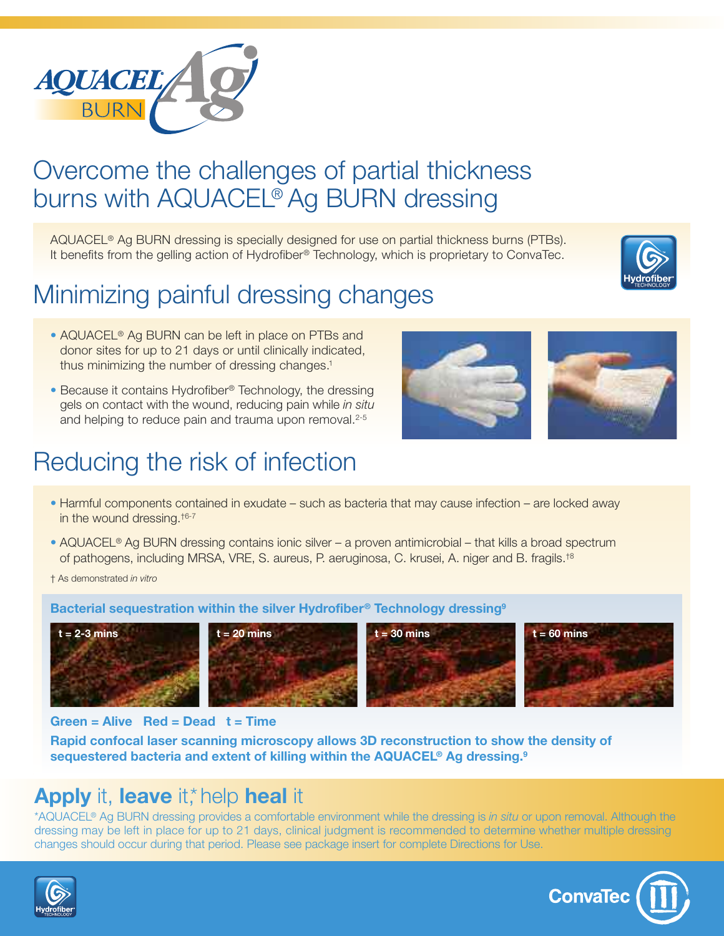

## Overcome the challenges of partial thickness burns with AQUACEL® Ag BURN dressing

AQUACEL® Ag BURN dressing is specially designed for use on partial thickness burns (PTBs). It benefits from the gelling action of Hydrofiber® Technology, which is proprietary to ConvaTec.

# Minimizing painful dressing changes



- **•** AQUACEL® Ag BURN can be left in place on PTBs and donor sites for up to 21 days or until clinically indicated, thus minimizing the number of dressing changes. 1
- **•** Because it contains Hydrofiber® Technology, the dressing gels on contact with the wound, reducing pain while *in situ* and helping to reduce pain and trauma upon removal.<sup>2-5</sup>

## Reducing the risk of infection



- **•** Harmful components contained in exudate such as bacteria that may cause infection are locked away in the wound dressing. †6-7
- **•** AQUACEL® Ag BURN dressing contains ionic silver a proven antimicrobial that kills a broad spectrum of pathogens, including MRSA, VRE, S. aureus, P. aeruginosa, C. krusei, A. niger and B. fragils.<sup>t8</sup>

† As demonstrated *in vitro*

### **Bacterial sequestration within the silver Hydrofiber® Technology dressing9**









**Green = Alive Red = Dead t = Time**

**Rapid confocal laser scanning microscopy allows 3D reconstruction to show the density of sequestered bacteria and extent of killing within the AQUACEL® Ag dressing. 9**

### **Apply** it, **leave** it,\*help **heal** it

\*AQUACEL® Ag BURN dressing provides a comfortable environment while the dressing is *in situ* or upon removal. Although the dressing may be left in place for up to 21 days, clinical judgment is recommended to determine whether multiple dressing changes should occur during that period. Please see package insert for complete Directions for Use.